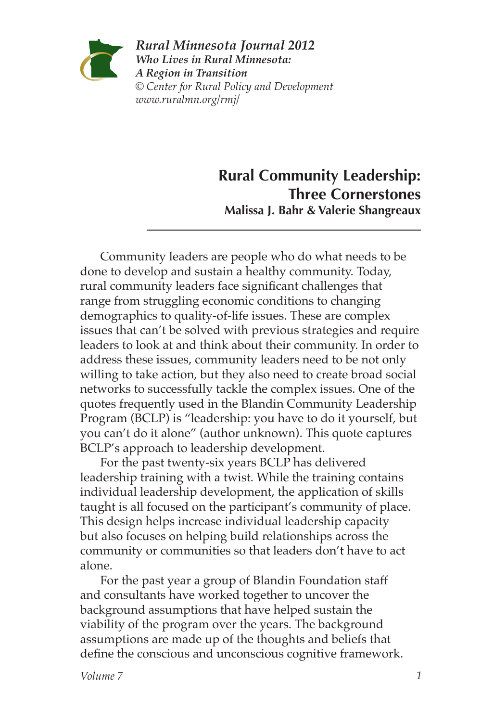

*Rural Minnesota Journal 2012 Who Lives in Rural Minnesota: A Region in Transition © Center for Rural Policy and Development www.ruralmn.org/rmj/*

# **Rural Community Leadership: Three Cornerstones Malissa J. Bahr & Valerie Shangreaux**

Community leaders are people who do what needs to be done to develop and sustain a healthy community. Today, rural community leaders face significant challenges that range from struggling economic conditions to changing demographics to quality-of-life issues. These are complex issues that can't be solved with previous strategies and require leaders to look at and think about their community. In order to address these issues, community leaders need to be not only willing to take action, but they also need to create broad social networks to successfully tackle the complex issues. One of the quotes frequently used in the Blandin Community Leadership Program (BCLP) is "leadership: you have to do it yourself, but you can't do it alone" (author unknown). This quote captures BCLP's approach to leadership development.

For the past twenty-six years BCLP has delivered leadership training with a twist. While the training contains individual leadership development, the application of skills taught is all focused on the participant's community of place. This design helps increase individual leadership capacity but also focuses on helping build relationships across the community or communities so that leaders don't have to act alone.

For the past year a group of Blandin Foundation staff and consultants have worked together to uncover the background assumptions that have helped sustain the viability of the program over the years. The background assumptions are made up of the thoughts and beliefs that define the conscious and unconscious cognitive framework.

*Volume 7 1*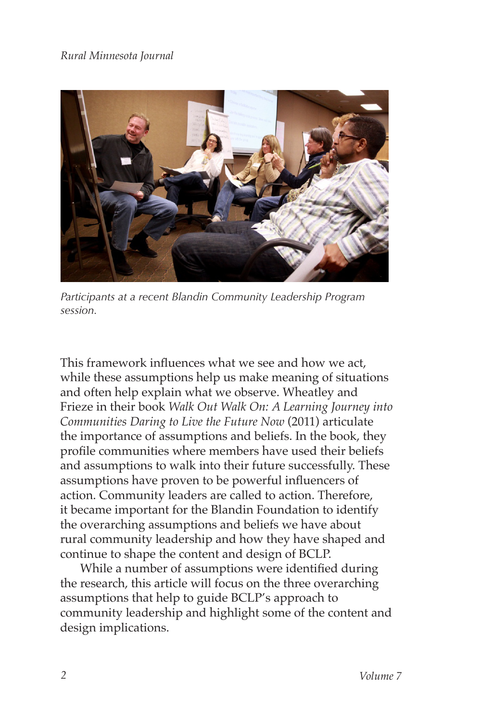

*Participants at a recent Blandin Community Leadership Program session.*

This framework influences what we see and how we act, while these assumptions help us make meaning of situations and often help explain what we observe. Wheatley and Frieze in their book *Walk Out Walk On: A Learning Journey into Communities Daring to Live the Future Now* (2011) articulate the importance of assumptions and beliefs. In the book, they profile communities where members have used their beliefs and assumptions to walk into their future successfully. These assumptions have proven to be powerful influencers of action. Community leaders are called to action. Therefore, it became important for the Blandin Foundation to identify the overarching assumptions and beliefs we have about rural community leadership and how they have shaped and continue to shape the content and design of BCLP.

While a number of assumptions were identified during the research, this article will focus on the three overarching assumptions that help to guide BCLP's approach to community leadership and highlight some of the content and design implications.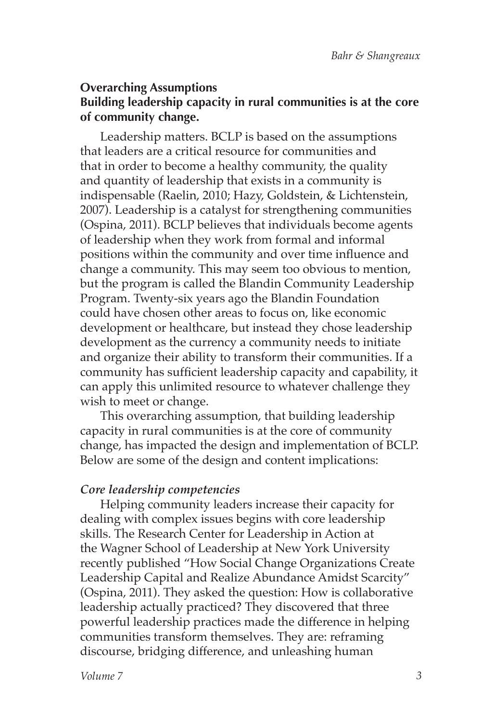### **Overarching Assumptions Building leadership capacity in rural communities is at the core of community change.**

Leadership matters. BCLP is based on the assumptions that leaders are a critical resource for communities and that in order to become a healthy community, the quality and quantity of leadership that exists in a community is indispensable (Raelin, 2010; Hazy, Goldstein, & Lichtenstein, 2007). Leadership is a catalyst for strengthening communities (Ospina, 2011). BCLP believes that individuals become agents of leadership when they work from formal and informal positions within the community and over time influence and change a community. This may seem too obvious to mention, but the program is called the Blandin Community Leadership Program. Twenty-six years ago the Blandin Foundation could have chosen other areas to focus on, like economic development or healthcare, but instead they chose leadership development as the currency a community needs to initiate and organize their ability to transform their communities. If a community has sufficient leadership capacity and capability, it can apply this unlimited resource to whatever challenge they wish to meet or change.

This overarching assumption, that building leadership capacity in rural communities is at the core of community change, has impacted the design and implementation of BCLP. Below are some of the design and content implications:

### *Core leadership competencies*

Helping community leaders increase their capacity for dealing with complex issues begins with core leadership skills. The Research Center for Leadership in Action at the Wagner School of Leadership at New York University recently published "How Social Change Organizations Create Leadership Capital and Realize Abundance Amidst Scarcity" (Ospina, 2011). They asked the question: How is collaborative leadership actually practiced? They discovered that three powerful leadership practices made the difference in helping communities transform themselves. They are: reframing discourse, bridging difference, and unleashing human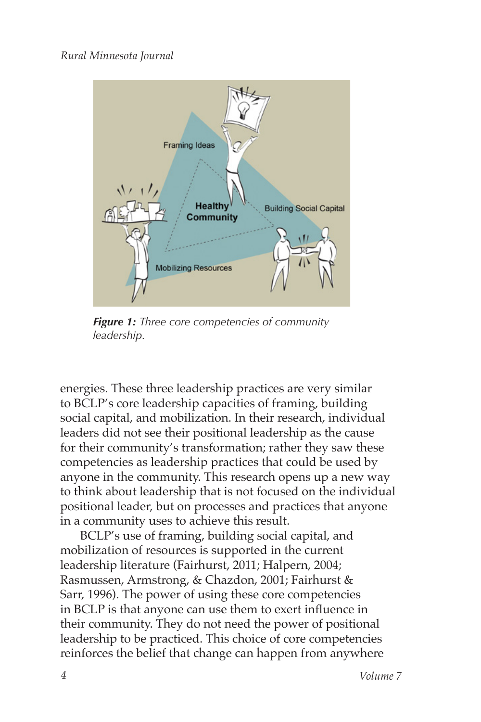

*Figure 1: Three core competencies of community leadership.*

energies. These three leadership practices are very similar to BCLP's core leadership capacities of framing, building social capital, and mobilization. In their research, individual leaders did not see their positional leadership as the cause for their community's transformation; rather they saw these competencies as leadership practices that could be used by anyone in the community. This research opens up a new way to think about leadership that is not focused on the individual positional leader, but on processes and practices that anyone in a community uses to achieve this result.

BCLP's use of framing, building social capital, and mobilization of resources is supported in the current leadership literature (Fairhurst, 2011; Halpern, 2004; Rasmussen, Armstrong, & Chazdon, 2001; Fairhurst & Sarr, 1996). The power of using these core competencies in BCLP is that anyone can use them to exert influence in their community. They do not need the power of positional leadership to be practiced. This choice of core competencies reinforces the belief that change can happen from anywhere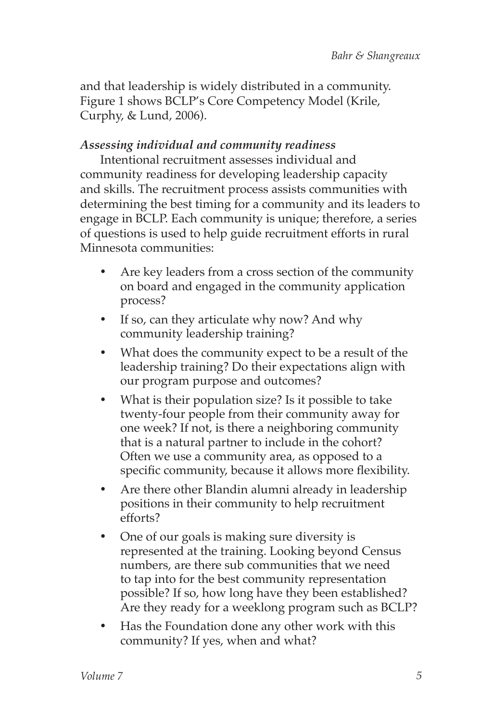and that leadership is widely distributed in a community. Figure 1 shows BCLP's Core Competency Model (Krile, Curphy, & Lund, 2006).

# *Assessing individual and community readiness*

Intentional recruitment assesses individual and community readiness for developing leadership capacity and skills. The recruitment process assists communities with determining the best timing for a community and its leaders to engage in BCLP. Each community is unique; therefore, a series of questions is used to help guide recruitment efforts in rural Minnesota communities:

- Are key leaders from a cross section of the community on board and engaged in the community application process?
- If so, can they articulate why now? And why community leadership training?
- What does the community expect to be a result of the leadership training? Do their expectations align with our program purpose and outcomes?
- What is their population size? Is it possible to take twenty-four people from their community away for one week? If not, is there a neighboring community that is a natural partner to include in the cohort? Often we use a community area, as opposed to a specific community, because it allows more flexibility.
- Are there other Blandin alumni already in leadership positions in their community to help recruitment efforts?
- One of our goals is making sure diversity is represented at the training. Looking beyond Census numbers, are there sub communities that we need to tap into for the best community representation possible? If so, how long have they been established? Are they ready for a weeklong program such as BCLP?
- Has the Foundation done any other work with this community? If yes, when and what?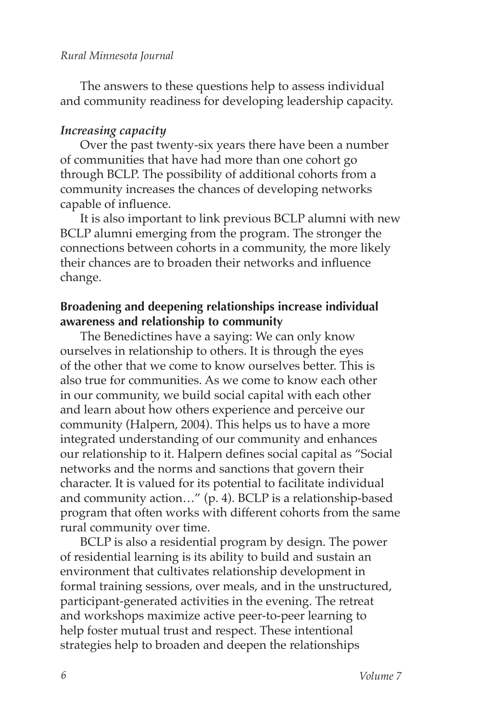The answers to these questions help to assess individual and community readiness for developing leadership capacity.

#### *Increasing capacity*

Over the past twenty-six years there have been a number of communities that have had more than one cohort go through BCLP. The possibility of additional cohorts from a community increases the chances of developing networks capable of influence.

It is also important to link previous BCLP alumni with new BCLP alumni emerging from the program. The stronger the connections between cohorts in a community, the more likely their chances are to broaden their networks and influence change.

### **Broadening and deepening relationships increase individual awareness and relationship to community**

The Benedictines have a saying: We can only know ourselves in relationship to others. It is through the eyes of the other that we come to know ourselves better. This is also true for communities. As we come to know each other in our community, we build social capital with each other and learn about how others experience and perceive our community (Halpern, 2004). This helps us to have a more integrated understanding of our community and enhances our relationship to it. Halpern defines social capital as "Social networks and the norms and sanctions that govern their character. It is valued for its potential to facilitate individual and community action…" (p. 4). BCLP is a relationship-based program that often works with different cohorts from the same rural community over time.

BCLP is also a residential program by design. The power of residential learning is its ability to build and sustain an environment that cultivates relationship development in formal training sessions, over meals, and in the unstructured, participant-generated activities in the evening. The retreat and workshops maximize active peer-to-peer learning to help foster mutual trust and respect. These intentional strategies help to broaden and deepen the relationships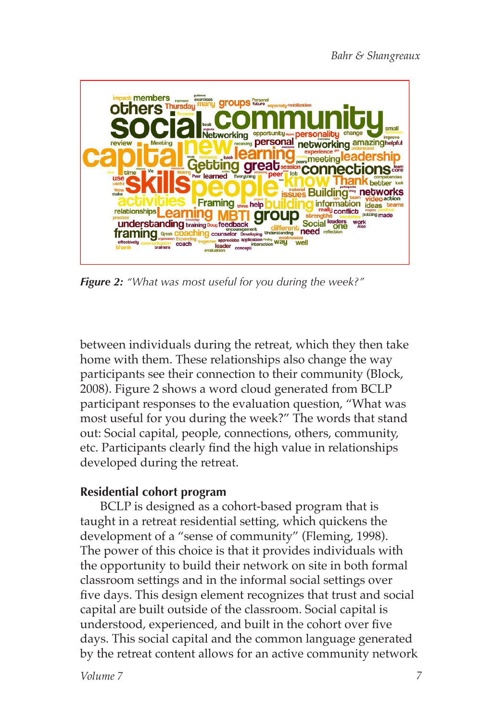

*Figure 2: "What was most useful for you during the week?"*

between individuals during the retreat, which they then take home with them. These relationships also change the way participants see their connection to their community (Block, 2008). Figure 2 shows a word cloud generated from BCLP participant responses to the evaluation question, "What was most useful for you during the week?" The words that stand out: Social capital, people, connections, others, community, etc. Participants clearly find the high value in relationships developed during the retreat.

## **Residential cohort program**

BCLP is designed as a cohort-based program that is taught in a retreat residential setting, which quickens the development of a "sense of community" (Fleming, 1998). The power of this choice is that it provides individuals with the opportunity to build their network on site in both formal classroom settings and in the informal social settings over five days. This design element recognizes that trust and social capital are built outside of the classroom. Social capital is understood, experienced, and built in the cohort over five days. This social capital and the common language generated by the retreat content allows for an active community network

*Volume 7*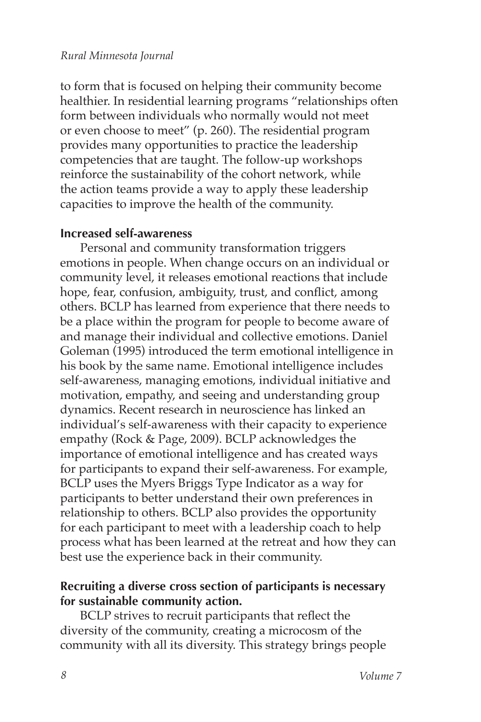to form that is focused on helping their community become healthier. In residential learning programs "relationships often form between individuals who normally would not meet or even choose to meet" (p. 260). The residential program provides many opportunities to practice the leadership competencies that are taught. The follow-up workshops reinforce the sustainability of the cohort network, while the action teams provide a way to apply these leadership capacities to improve the health of the community.

#### **Increased self-awareness**

Personal and community transformation triggers emotions in people. When change occurs on an individual or community level, it releases emotional reactions that include hope, fear, confusion, ambiguity, trust, and conflict, among others. BCLP has learned from experience that there needs to be a place within the program for people to become aware of and manage their individual and collective emotions. Daniel Goleman (1995) introduced the term emotional intelligence in his book by the same name. Emotional intelligence includes self-awareness, managing emotions, individual initiative and motivation, empathy, and seeing and understanding group dynamics. Recent research in neuroscience has linked an individual's self-awareness with their capacity to experience empathy (Rock & Page, 2009). BCLP acknowledges the importance of emotional intelligence and has created ways for participants to expand their self-awareness. For example, BCLP uses the Myers Briggs Type Indicator as a way for participants to better understand their own preferences in relationship to others. BCLP also provides the opportunity for each participant to meet with a leadership coach to help process what has been learned at the retreat and how they can best use the experience back in their community.

### **Recruiting a diverse cross section of participants is necessary for sustainable community action.**

BCLP strives to recruit participants that reflect the diversity of the community, creating a microcosm of the community with all its diversity. This strategy brings people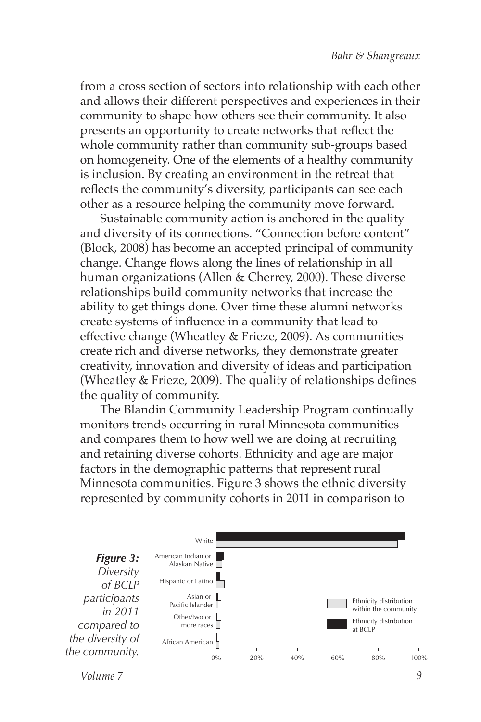from a cross section of sectors into relationship with each other and allows their different perspectives and experiences in their community to shape how others see their community. It also presents an opportunity to create networks that reflect the whole community rather than community sub-groups based on homogeneity. One of the elements of a healthy community is inclusion. By creating an environment in the retreat that reflects the community's diversity, participants can see each other as a resource helping the community move forward.

Sustainable community action is anchored in the quality and diversity of its connections. "Connection before content" (Block, 2008) has become an accepted principal of community change. Change flows along the lines of relationship in all human organizations (Allen & Cherrey, 2000). These diverse relationships build community networks that increase the ability to get things done. Over time these alumni networks create systems of influence in a community that lead to effective change (Wheatley & Frieze, 2009). As communities create rich and diverse networks, they demonstrate greater creativity, innovation and diversity of ideas and participation (Wheatley & Frieze, 2009). The quality of relationships defines the quality of community.

The Blandin Community Leadership Program continually monitors trends occurring in rural Minnesota communities and compares them to how well we are doing at recruiting and retaining diverse cohorts. Ethnicity and age are major factors in the demographic patterns that represent rural Minnesota communities. Figure 3 shows the ethnic diversity represented by community cohorts in 2011 in comparison to



*Volume 7*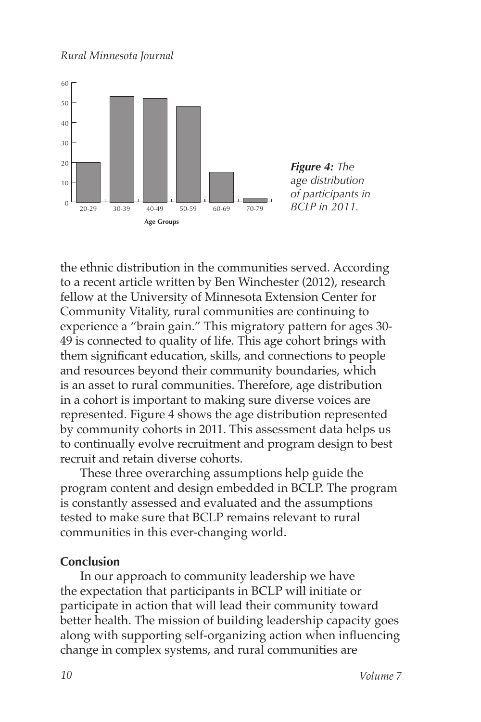

*Figure 4: The age distribution of participants in BCLP in 2011.*

the ethnic distribution in the communities served. According to a recent article written by Ben Winchester (2012), research fellow at the University of Minnesota Extension Center for Community Vitality, rural communities are continuing to experience a "brain gain." This migratory pattern for ages 30- 49 is connected to quality of life. This age cohort brings with them significant education, skills, and connections to people and resources beyond their community boundaries, which is an asset to rural communities. Therefore, age distribution in a cohort is important to making sure diverse voices are represented. Figure 4 shows the age distribution represented by community cohorts in 2011. This assessment data helps us to continually evolve recruitment and program design to best recruit and retain diverse cohorts.

These three overarching assumptions help guide the program content and design embedded in BCLP. The program is constantly assessed and evaluated and the assumptions tested to make sure that BCLP remains relevant to rural communities in this ever-changing world.

#### **Conclusion**

In our approach to community leadership we have the expectation that participants in BCLP will initiate or participate in action that will lead their community toward better health. The mission of building leadership capacity goes along with supporting self-organizing action when influencing change in complex systems, and rural communities are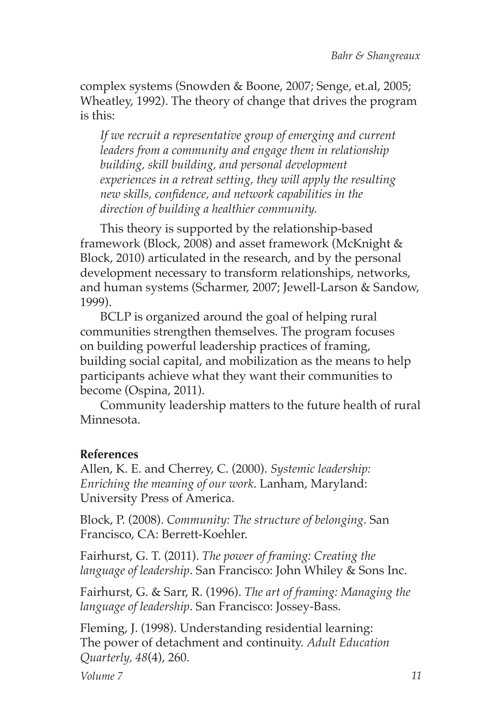complex systems (Snowden & Boone, 2007; Senge, et.al, 2005; Wheatley, 1992). The theory of change that drives the program is this:

*If we recruit a representative group of emerging and current leaders from a community and engage them in relationship building, skill building, and personal development experiences in a retreat setting, they will apply the resulting new skills, confidence, and network capabilities in the direction of building a healthier community.*

This theory is supported by the relationship-based framework (Block, 2008) and asset framework (McKnight & Block, 2010) articulated in the research, and by the personal development necessary to transform relationships, networks, and human systems (Scharmer, 2007; Jewell-Larson & Sandow, 1999).

BCLP is organized around the goal of helping rural communities strengthen themselves. The program focuses on building powerful leadership practices of framing, building social capital, and mobilization as the means to help participants achieve what they want their communities to become (Ospina, 2011).

Community leadership matters to the future health of rural Minnesota.

## **References**

Allen, K. E. and Cherrey, C. (2000). *Systemic leadership: Enriching the meaning of our work*. Lanham, Maryland: University Press of America.

Block, P. (2008). *Community: The structure of belonging*. San Francisco, CA: Berrett-Koehler.

Fairhurst, G. T. (2011). *The power of framing: Creating the language of leadership*. San Francisco: John Whiley & Sons Inc.

Fairhurst, G. & Sarr, R. (1996). *The art of framing: Managing the language of leadership*. San Francisco: Jossey-Bass.

Fleming, J. (1998). Understanding residential learning: The power of detachment and continuity. *Adult Education Quarterly, 48*(4), 260.

*Volume 7*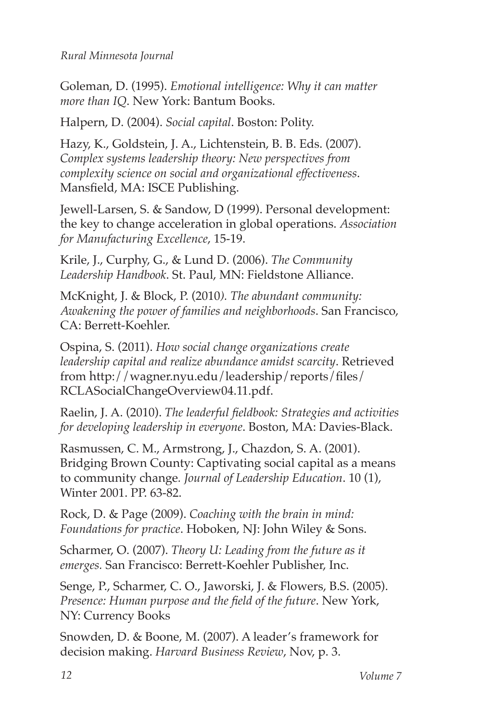Goleman, D. (1995). *Emotional intelligence: Why it can matter more than IQ*. New York: Bantum Books.

Halpern, D. (2004). *Social capital*. Boston: Polity.

Hazy, K., Goldstein, J. A., Lichtenstein, B. B. Eds. (2007). *Complex systems leadership theory: New perspectives from complexity science on social and organizational effectiveness*. Mansfield, MA: ISCE Publishing.

Jewell-Larsen, S. & Sandow, D (1999). Personal development: the key to change acceleration in global operations. *Association for Manufacturing Excellence*, 15-19.

Krile, J., Curphy, G., & Lund D. (2006). *The Community Leadership Handbook*. St. Paul, MN: Fieldstone Alliance.

McKnight, J. & Block, P. (2010*). The abundant community: Awakening the power of families and neighborhoods*. San Francisco, CA: Berrett-Koehler.

Ospina, S. (2011). *How social change organizations create leadership capital and realize abundance amidst scarcity*. Retrieved from http://wagner.nyu.edu/leadership/reports/files/ RCLASocialChangeOverview04.11.pdf.

Raelin, J. A. (2010). *The leaderful fieldbook: Strategies and activities for developing leadership in everyone*. Boston, MA: Davies-Black.

Rasmussen, C. M., Armstrong, J., Chazdon, S. A. (2001). Bridging Brown County: Captivating social capital as a means to community change*. Journal of Leadership Education*. 10 (1), Winter 2001. PP. 63-82.

Rock, D. & Page (2009). *Coaching with the brain in mind: Foundations for practice*. Hoboken, NJ: John Wiley & Sons.

Scharmer, O. (2007). *Theory U: Leading from the future as it emerges.* San Francisco: Berrett-Koehler Publisher, Inc.

Senge, P., Scharmer, C. O., Jaworski, J. & Flowers, B.S. (2005). *Presence: Human purpose and the field of the future*. New York, NY: Currency Books

Snowden, D. & Boone, M. (2007). A leader's framework for decision making. *Harvard Business Review*, Nov, p. 3.